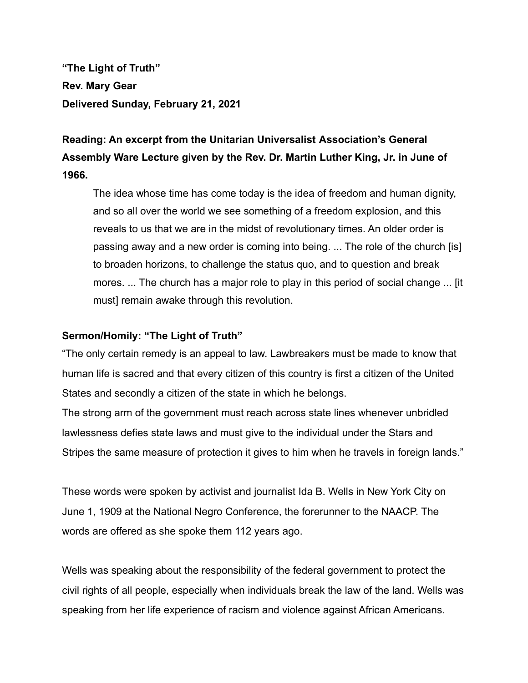**"The Light of Truth" Rev. Mary Gear Delivered Sunday, February 21, 2021**

**Reading: An excerpt from the Unitarian Universalist Association's General Assembly Ware Lecture given by the Rev. Dr. Martin Luther King, Jr. in June of 1966.**

The idea whose time has come today is the idea of freedom and human dignity, and so all over the world we see something of a freedom explosion, and this reveals to us that we are in the midst of revolutionary times. An older order is passing away and a new order is coming into being. ... The role of the church [is] to broaden horizons, to challenge the status quo, and to question and break mores. ... The church has a major role to play in this period of social change ... [it must] remain awake through this revolution.

## **Sermon/Homily: "The Light of Truth"**

"The only certain remedy is an appeal to law. Lawbreakers must be made to know that human life is sacred and that every citizen of this country is first a citizen of the United States and secondly a citizen of the state in which he belongs.

The strong arm of the government must reach across state lines whenever unbridled lawlessness defies state laws and must give to the individual under the Stars and Stripes the same measure of protection it gives to him when he travels in foreign lands."

These words were spoken by activist and journalist Ida B. Wells in New York City on June 1, 1909 at the National Negro Conference, the forerunner to the NAACP. The words are offered as she spoke them 112 years ago.

Wells was speaking about the responsibility of the federal government to protect the civil rights of all people, especially when individuals break the law of the land. Wells was speaking from her life experience of racism and violence against African Americans.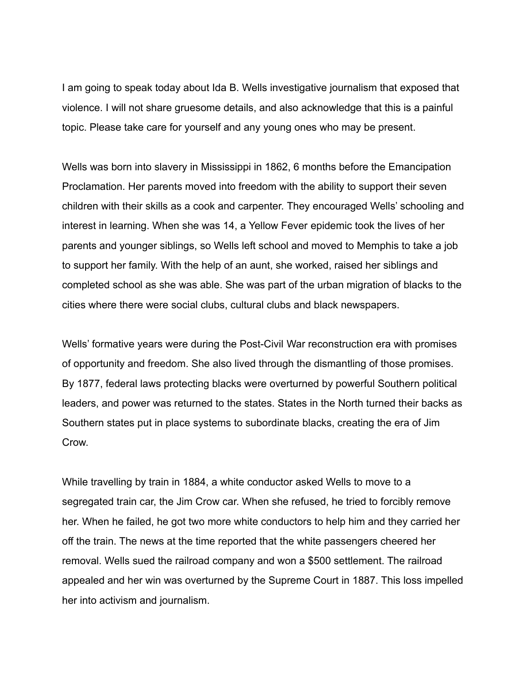I am going to speak today about Ida B. Wells investigative journalism that exposed that violence. I will not share gruesome details, and also acknowledge that this is a painful topic. Please take care for yourself and any young ones who may be present.

Wells was born into slavery in Mississippi in 1862, 6 months before the Emancipation Proclamation. Her parents moved into freedom with the ability to support their seven children with their skills as a cook and carpenter. They encouraged Wells' schooling and interest in learning. When she was 14, a Yellow Fever epidemic took the lives of her parents and younger siblings, so Wells left school and moved to Memphis to take a job to support her family. With the help of an aunt, she worked, raised her siblings and completed school as she was able. She was part of the urban migration of blacks to the cities where there were social clubs, cultural clubs and black newspapers.

Wells' formative years were during the Post-Civil War reconstruction era with promises of opportunity and freedom. She also lived through the dismantling of those promises. By 1877, federal laws protecting blacks were overturned by powerful Southern political leaders, and power was returned to the states. States in the North turned their backs as Southern states put in place systems to subordinate blacks, creating the era of Jim Crow.

While travelling by train in 1884, a white conductor asked Wells to move to a segregated train car, the Jim Crow car. When she refused, he tried to forcibly remove her. When he failed, he got two more white conductors to help him and they carried her off the train. The news at the time reported that the white passengers cheered her removal. Wells sued the railroad company and won a \$500 settlement. The railroad appealed and her win was overturned by the Supreme Court in 1887. This loss impelled her into activism and journalism.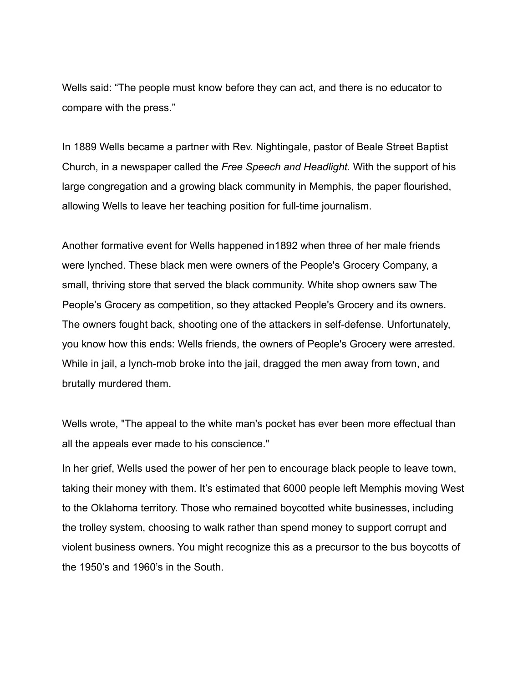Wells said: "The people must know before they can act, and there is no educator to compare with the press."

In 1889 Wells became a partner with Rev. Nightingale, pastor of Beale Street Baptist Church, in a newspaper called the *Free Speech and Headlight.* With the support of his large congregation and a growing black community in Memphis, the paper flourished, allowing Wells to leave her teaching position for full-time journalism.

Another formative event for Wells happened in1892 when three of her male friends were lynched. These black men were owners of the People's Grocery Company, a small, thriving store that served the black community. White shop owners saw The People's Grocery as competition, so they attacked People's Grocery and its owners. The owners fought back, shooting one of the attackers in self-defense. Unfortunately, you know how this ends: Wells friends, the owners of People's Grocery were arrested. While in jail, a lynch-mob broke into the jail, dragged the men away from town, and brutally murdered them.

Wells wrote, "The appeal to the white man's pocket has ever been more effectual than all the appeals ever made to his conscience."

In her grief, Wells used the power of her pen to encourage black people to leave town, taking their money with them. It's estimated that 6000 people left Memphis moving West to the Oklahoma territory. Those who remained boycotted white businesses, including the trolley system, choosing to walk rather than spend money to support corrupt and violent business owners. You might recognize this as a precursor to the bus boycotts of the 1950's and 1960's in the South.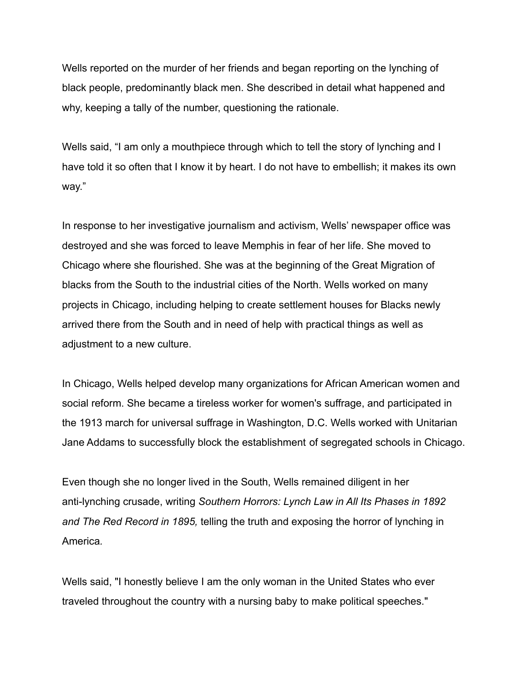Wells reported on the murder of her friends and began reporting on the lynching of black people, predominantly black men. She described in detail what happened and why, keeping a tally of the number, questioning the rationale.

Wells said, "I am only a mouthpiece through which to tell the story of lynching and I have told it so often that I know it by heart. I do not have to embellish; it makes its own way."

In response to her investigative journalism and activism, Wells' newspaper office was destroyed and she was forced to leave Memphis in fear of her life. She moved to Chicago where she flourished. She was at the beginning of the Great Migration of blacks from the South to the industrial cities of the North. Wells worked on many projects in Chicago, including helping to create settlement houses for Blacks newly arrived there from the South and in need of help with practical things as well as adjustment to a new culture.

In Chicago, Wells helped develop many organizations for African American women and social reform. She became a tireless worker for women's suffrage, and participated in the 1913 march for universal suffrage in Washington, D.C. Wells worked with Unitarian Jane Addams to successfully block the establishment of segregated schools in Chicago.

Even though she no longer lived in the South, Wells remained diligent in her anti-lynching crusade, writing *Southern Horrors: Lynch Law in All Its Phases in 1892 and The Red Record in 1895,* telling the truth and exposing the horror of lynching in America*.*

Wells said, "I honestly believe I am the only woman in the United States who ever traveled throughout the country with a nursing baby to make political speeches."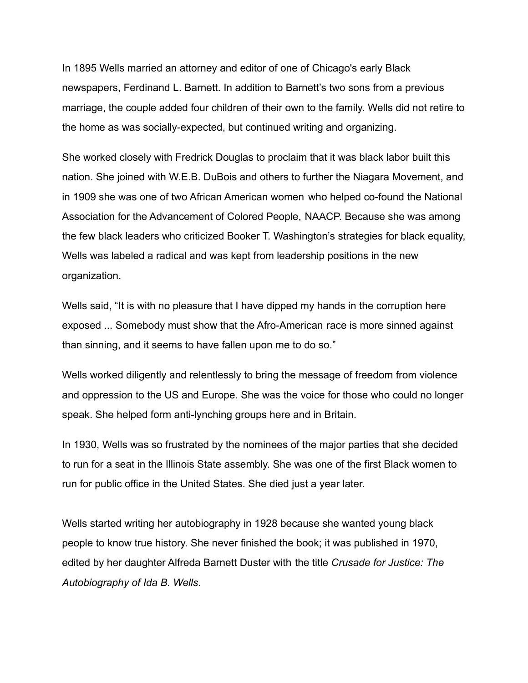In 1895 Wells married an attorney and editor of one of Chicago's early Black newspapers, Ferdinand L. Barnett. In addition to Barnett's two sons from a previous marriage, the couple added four children of their own to the family. Wells did not retire to the home as was socially-expected, but continued writing and organizing.

She worked closely with Fredrick Douglas to proclaim that it was black labor built this nation. She joined with W.E.B. DuBois and others to further the Niagara Movement, and in 1909 she was one of two African American women who helped co-found the National Association for the Advancement of Colored People, NAACP. Because she was among the few black leaders who criticized Booker T. Washington's strategies for black equality, Wells was labeled a radical and was kept from leadership positions in the new organization.

Wells said, "It is with no pleasure that I have dipped my hands in the corruption here exposed ... Somebody must show that the Afro-American race is more sinned against than sinning, and it seems to have fallen upon me to do so."

Wells worked diligently and relentlessly to bring the message of freedom from violence and oppression to the US and Europe. She was the voice for those who could no longer speak. She helped form anti-lynching groups here and in Britain.

In 1930, Wells was so frustrated by the nominees of the major parties that she decided to run for a seat in the Illinois State assembly. She was one of the first Black women to run for public office in the United States. She died just a year later.

Wells started writing her autobiography in 1928 because she wanted young black people to know true history. She never finished the book; it was published in 1970, edited by her daughter Alfreda Barnett Duster with the title *Crusade for Justice: The Autobiography of Ida B. Wells*.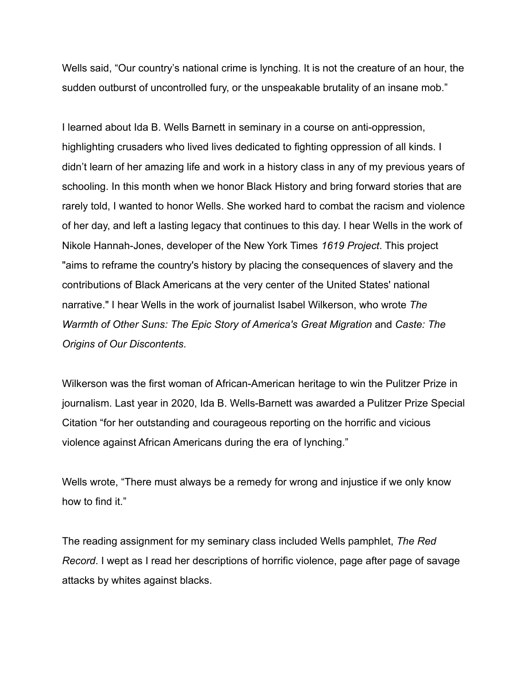Wells said, "Our country's national crime is lynching. It is not the creature of an hour, the sudden outburst of uncontrolled fury, or the unspeakable brutality of an insane mob."

I learned about Ida B. Wells Barnett in seminary in a course on anti-oppression, highlighting crusaders who lived lives dedicated to fighting oppression of all kinds. I didn't learn of her amazing life and work in a history class in any of my previous years of schooling. In this month when we honor Black History and bring forward stories that are rarely told, I wanted to honor Wells. She worked hard to combat the racism and violence of her day, and left a lasting legacy that continues to this day. I hear Wells in the work of Nikole Hannah-Jones, developer of the New York Times *1619 Project*. This project "aims to reframe the country's history by placing the consequences of slavery and the contributions of Black Americans at the very center of the United States' national narrative." I hear Wells in the work of journalist Isabel Wilkerson, who wrote *The Warmth of Other Suns: The Epic Story of America's Great Migration* and *Caste: The Origins of Our Discontents*.

Wilkerson was the first woman of African-American heritage to win the Pulitzer Prize in journalism. Last year in 2020, Ida B. Wells-Barnett was awarded a Pulitzer Prize Special Citation "for her outstanding and courageous reporting on the horrific and vicious violence against African Americans during the era of lynching."

Wells wrote, "There must always be a remedy for wrong and injustice if we only know how to find it."

The reading assignment for my seminary class included Wells pamphlet, *The Red Record*. I wept as I read her descriptions of horrific violence, page after page of savage attacks by whites against blacks.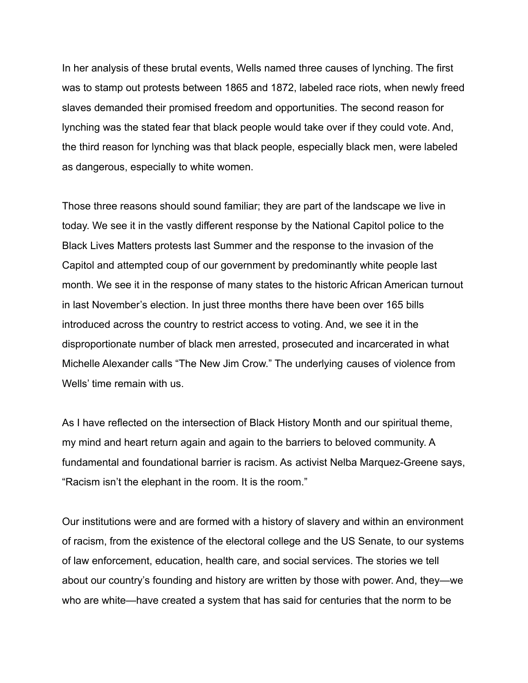In her analysis of these brutal events, Wells named three causes of lynching. The first was to stamp out protests between 1865 and 1872, labeled race riots, when newly freed slaves demanded their promised freedom and opportunities. The second reason for lynching was the stated fear that black people would take over if they could vote. And, the third reason for lynching was that black people, especially black men, were labeled as dangerous, especially to white women.

Those three reasons should sound familiar; they are part of the landscape we live in today. We see it in the vastly different response by the National Capitol police to the Black Lives Matters protests last Summer and the response to the invasion of the Capitol and attempted coup of our government by predominantly white people last month. We see it in the response of many states to the historic African American turnout in last November's election. In just three months there have been over 165 bills introduced across the country to restrict access to voting. And, we see it in the disproportionate number of black men arrested, prosecuted and incarcerated in what Michelle Alexander calls "The New Jim Crow." The underlying causes of violence from Wells' time remain with us.

As I have reflected on the intersection of Black History Month and our spiritual theme, my mind and heart return again and again to the barriers to beloved community. A fundamental and foundational barrier is racism. As activist Nelba Marquez-Greene says, "Racism isn't the elephant in the room. It is the room."

Our institutions were and are formed with a history of slavery and within an environment of racism, from the existence of the electoral college and the US Senate, to our systems of law enforcement, education, health care, and social services. The stories we tell about our country's founding and history are written by those with power. And, they—we who are white—have created a system that has said for centuries that the norm to be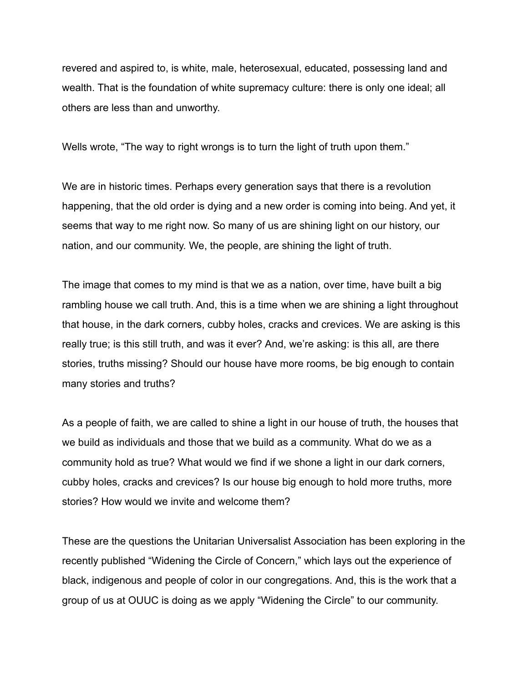revered and aspired to, is white, male, heterosexual, educated, possessing land and wealth. That is the foundation of white supremacy culture: there is only one ideal; all others are less than and unworthy.

Wells wrote, "The way to right wrongs is to turn the light of truth upon them."

We are in historic times. Perhaps every generation says that there is a revolution happening, that the old order is dying and a new order is coming into being. And yet, it seems that way to me right now. So many of us are shining light on our history, our nation, and our community. We, the people, are shining the light of truth.

The image that comes to my mind is that we as a nation, over time, have built a big rambling house we call truth. And, this is a time when we are shining a light throughout that house, in the dark corners, cubby holes, cracks and crevices. We are asking is this really true; is this still truth, and was it ever? And, we're asking: is this all, are there stories, truths missing? Should our house have more rooms, be big enough to contain many stories and truths?

As a people of faith, we are called to shine a light in our house of truth, the houses that we build as individuals and those that we build as a community. What do we as a community hold as true? What would we find if we shone a light in our dark corners, cubby holes, cracks and crevices? Is our house big enough to hold more truths, more stories? How would we invite and welcome them?

These are the questions the Unitarian Universalist Association has been exploring in the recently published "Widening the Circle of Concern," which lays out the experience of black, indigenous and people of color in our congregations. And, this is the work that a group of us at OUUC is doing as we apply "Widening the Circle" to our community.